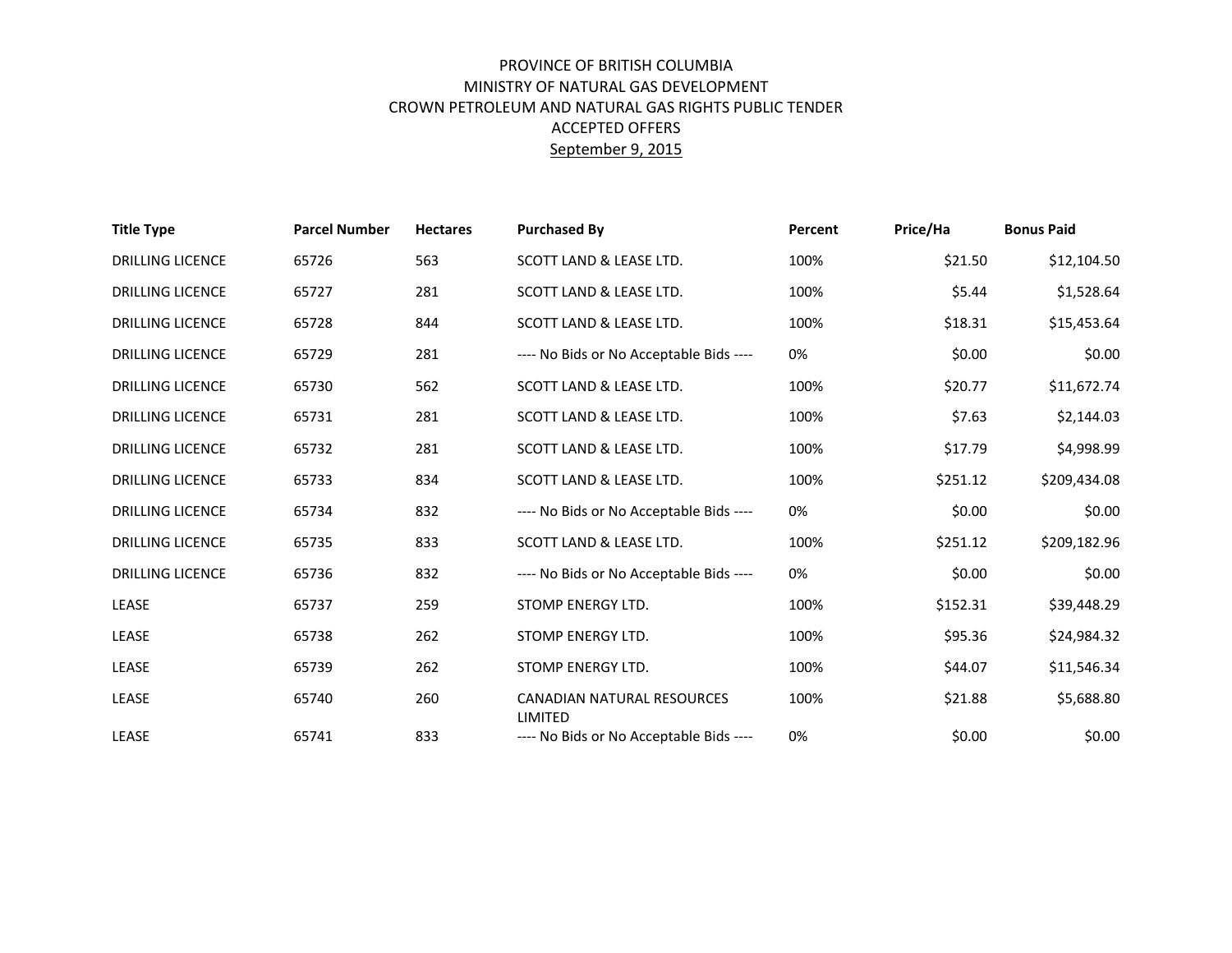## PROVINCE OF BRITISH COLUMBIA MINISTRY OF NATURAL GAS DEVELOPMENT CROWN PETROLEUM AND NATURAL GAS RIGHTS PUBLIC TENDER ACCEPTED OFFERS September 9, 2015

| <b>Title Type</b>       | <b>Parcel Number</b> | <b>Hectares</b> | <b>Purchased By</b>                          | Percent | Price/Ha | <b>Bonus Paid</b> |
|-------------------------|----------------------|-----------------|----------------------------------------------|---------|----------|-------------------|
| <b>DRILLING LICENCE</b> | 65726                | 563             | SCOTT LAND & LEASE LTD.                      | 100%    | \$21.50  | \$12,104.50       |
| <b>DRILLING LICENCE</b> | 65727                | 281             | SCOTT LAND & LEASE LTD.                      | 100%    | \$5.44   | \$1,528.64        |
| <b>DRILLING LICENCE</b> | 65728                | 844             | SCOTT LAND & LEASE LTD.                      | 100%    | \$18.31  | \$15,453.64       |
| <b>DRILLING LICENCE</b> | 65729                | 281             | ---- No Bids or No Acceptable Bids ----      | 0%      | \$0.00   | \$0.00            |
| <b>DRILLING LICENCE</b> | 65730                | 562             | SCOTT LAND & LEASE LTD.                      | 100%    | \$20.77  | \$11,672.74       |
| <b>DRILLING LICENCE</b> | 65731                | 281             | SCOTT LAND & LEASE LTD.                      | 100%    | \$7.63   | \$2,144.03        |
| <b>DRILLING LICENCE</b> | 65732                | 281             | SCOTT LAND & LEASE LTD.                      | 100%    | \$17.79  | \$4,998.99        |
| <b>DRILLING LICENCE</b> | 65733                | 834             | SCOTT LAND & LEASE LTD.                      | 100%    | \$251.12 | \$209,434.08      |
| <b>DRILLING LICENCE</b> | 65734                | 832             | ---- No Bids or No Acceptable Bids ----      | 0%      | \$0.00   | \$0.00            |
| <b>DRILLING LICENCE</b> | 65735                | 833             | SCOTT LAND & LEASE LTD.                      | 100%    | \$251.12 | \$209,182.96      |
| <b>DRILLING LICENCE</b> | 65736                | 832             | ---- No Bids or No Acceptable Bids ----      | 0%      | \$0.00   | \$0.00            |
| <b>LEASE</b>            | 65737                | 259             | STOMP ENERGY LTD.                            | 100%    | \$152.31 | \$39,448.29       |
| <b>LEASE</b>            | 65738                | 262             | STOMP ENERGY LTD.                            | 100%    | \$95.36  | \$24,984.32       |
| <b>LEASE</b>            | 65739                | 262             | STOMP ENERGY LTD.                            | 100%    | \$44.07  | \$11,546.34       |
| <b>LEASE</b>            | 65740                | 260             | CANADIAN NATURAL RESOURCES<br><b>LIMITED</b> | 100%    | \$21.88  | \$5,688.80        |
| <b>LEASE</b>            | 65741                | 833             | ---- No Bids or No Acceptable Bids ----      | 0%      | \$0.00   | \$0.00            |